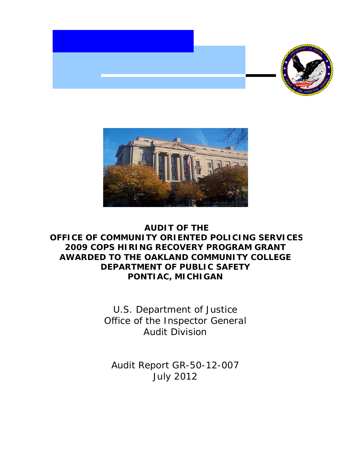



# **AUDIT OF THE OFFICE OF COMMUNITY ORIENTED POLICING SERVICES 2009 COPS HIRING RECOVERY PROGRAM GRANT AWARDED TO THE OAKLAND COMMUNITY COLLEGE DEPARTMENT OF PUBLIC SAFETY PONTIAC, MICHIGAN**

 Office of the Inspector General U.S. Department of Justice Audit Division

 Audit Report GR-50-12-007 July 2012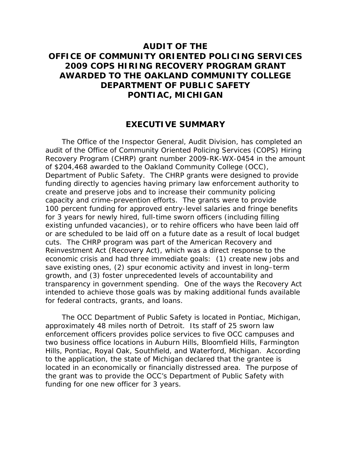# **2009 COPS HIRING RECOVERY PROGRAM GRANT PONTIAC, MICHIGAN AUDIT OF THE OFFICE OF COMMUNITY ORIENTED POLICING SERVICES AWARDED TO THE OAKLAND COMMUNITY COLLEGE DEPARTMENT OF PUBLIC SAFETY**

### **EXECUTIVE SUMMARY**

 funding directly to agencies having primary law enforcement authority to capacity and crime-prevention efforts. The grants were to provide transparency in government spending. One of the ways the Recovery Act The Office of the Inspector General, Audit Division, has completed an audit of the Office of Community Oriented Policing Services (COPS) Hiring Recovery Program (CHRP) grant number 2009-RK-WX-0454 in the amount of \$204,468 awarded to the Oakland Community College (OCC), Department of Public Safety. The CHRP grants were designed to provide create and preserve jobs and to increase their community policing 100 percent funding for approved entry-level salaries and fringe benefits for 3 years for newly hired, full-time sworn officers (including filling existing unfunded vacancies), or to rehire officers who have been laid off or are scheduled to be laid off on a future date as a result of local budget cuts. The CHRP program was part of the American Recovery and Reinvestment Act (Recovery Act), which was a direct response to the economic crisis and had three immediate goals: (1) create new jobs and save existing ones, (2) spur economic activity and invest in long–term growth, and (3) foster unprecedented levels of accountability and intended to achieve those goals was by making additional funds available for federal contracts, grants, and loans.

 funding for one new officer for 3 years. The OCC Department of Public Safety is located in Pontiac, Michigan, approximately 48 miles north of Detroit. Its staff of 25 sworn law enforcement officers provides police services to five OCC campuses and two business office locations in Auburn Hills, Bloomfield Hills, Farmington Hills, Pontiac, Royal Oak, Southfield, and Waterford, Michigan. According to the application, the state of Michigan declared that the grantee is located in an economically or financially distressed area. The purpose of the grant was to provide the OCC's Department of Public Safety with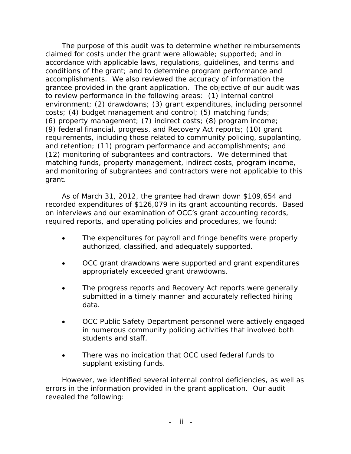accomplishments. We also reviewed the accuracy of information the and monitoring of subgrantees and contractors were not applicable to this The purpose of this audit was to determine whether reimbursements claimed for costs under the grant were allowable; supported; and in accordance with applicable laws, regulations, guidelines, and terms and conditions of the grant; and to determine program performance and grantee provided in the grant application. The objective of our audit was to review performance in the following areas: (1) internal control environment; (2) drawdowns; (3) grant expenditures, including personnel costs; (4) budget management and control; (5) matching funds; (6) property management; (7) indirect costs; (8) program income; (9) federal financial, progress, and Recovery Act reports; (10) grant requirements, including those related to community policing, supplanting, and retention; (11) program performance and accomplishments; and (12) monitoring of subgrantees and contractors. We determined that matching funds, property management, indirect costs, program income, grant.

As of March 31, 2012, the grantee had drawn down \$109,654 and recorded expenditures of \$126,079 in its grant accounting records. Based on interviews and our examination of OCC's grant accounting records, required reports, and operating policies and procedures, we found:

- The expenditures for payroll and fringe benefits were properly authorized, classified, and adequately supported.
- OCC grant drawdowns were supported and grant expenditures appropriately exceeded grant drawdowns.
- The progress reports and Recovery Act reports were generally submitted in a timely manner and accurately reflected hiring data.
- students and staff. OCC Public Safety Department personnel were actively engaged in numerous community policing activities that involved both
- There was no indication that OCC used federal funds to supplant existing funds.

However, we identified several internal control deficiencies, as well as errors in the information provided in the grant application. Our audit revealed the following: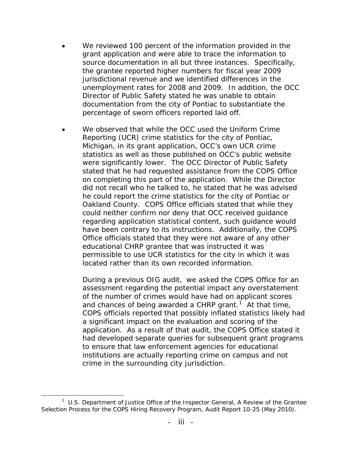- grant application and were able to trace the information to jurisdictional revenue and we identified differences in the unemployment rates for 2008 and 2009. In addition, the OCC We reviewed 100 percent of the information provided in the source documentation in all but three instances. Specifically, the grantee reported higher numbers for fiscal year 2009 Director of Public Safety stated he was unable to obtain documentation from the city of Pontiac to substantiate the percentage of sworn officers reported laid off.
- on completing this part of the application. While the Director Oakland County. COPS Office officials stated that while they We observed that while the OCC used the Uniform Crime Reporting (UCR) crime statistics for the city of Pontiac, Michigan, in its grant application, OCC's own UCR crime statistics as well as those published on OCC's public website were significantly lower. The OCC Director of Public Safety stated that he had requested assistance from the COPS Office did not recall who he talked to, he stated that he was advised he could report the crime statistics for the city of Pontiac or could neither confirm nor deny that OCC received guidance regarding application statistical content, such guidance would have been contrary to its instructions. Additionally, the COPS Office officials stated that they were not aware of any other educational CHRP grantee that was instructed it was permissible to use UCR statistics for the city in which it was located rather than its own recorded information.

 During a previous OIG audit, we asked the COPS Office for an and chances of being awarded a CHRP grant.<sup>[1](#page-3-0)</sup> At that time, institutions are actually reporting crime on campus and not assessment regarding the potential impact any overstatement of the number of crimes would have had on applicant scores COPS officials reported that possibly inflated statistics likely had a significant impact on the evaluation and scoring of the application. As a result of that audit, the COPS Office stated it had developed separate queries for subsequent grant programs to ensure that law enforcement agencies for educational crime in the surrounding city jurisdiction.

<span id="page-3-0"></span> $\overline{a}$  1 U.S. Department of Justice Office of the Inspector General, *A Review of the Grantee Selection Process for the COPS Hiring Recovery Program*, Audit Report 10-25 (May 2010).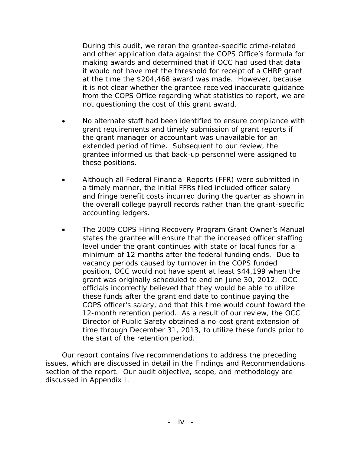and other application data against the COPS Office's formula for making awards and determined that if OCC had used that data During this audit, we reran the grantee-specific crime-related it would not have met the threshold for receipt of a CHRP grant at the time the \$204,468 award was made. However, because it is not clear whether the grantee received inaccurate guidance from the COPS Office regarding what statistics to report, we are not questioning the cost of this grant award.

- the grant manager or accountant was unavailable for an No alternate staff had been identified to ensure compliance with grant requirements and timely submission of grant reports if extended period of time. Subsequent to our review, the grantee informed us that back-up personnel were assigned to these positions.
- accounting ledgers. • Although all Federal Financial Reports (FFR) were submitted in a timely manner, the initial FFRs filed included officer salary and fringe benefit costs incurred during the quarter as shown in the overall college payroll records rather than the grant-specific
- level under the grant continues with state or local funds for a minimum of 12 months after the federal funding ends. Due to time through December 31, 2013, to utilize these funds prior to The 2009 COPS Hiring Recovery Program Grant Owner's Manual states the grantee will ensure that the increased officer staffing vacancy periods caused by turnover in the COPS funded position, OCC would not have spent at least \$44,199 when the grant was originally scheduled to end on June 30, 2012. OCC officials incorrectly believed that they would be able to utilize these funds after the grant end date to continue paying the COPS officer's salary, and that this time would count toward the 12-month retention period. As a result of our review, the OCC Director of Public Safety obtained a no-cost grant extension of the start of the retention period.

Our report contains five recommendations to address the preceding issues, which are discussed in detail in the Findings and Recommendations section of the report. Our audit objective, scope, and methodology are discussed in Appendix I.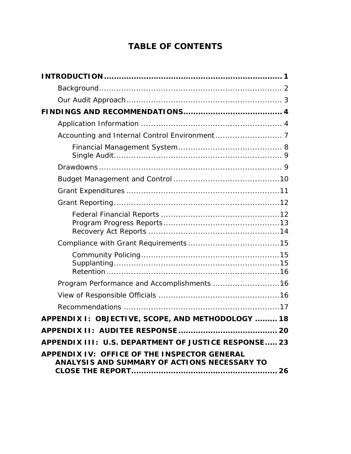# **TABLE OF CONTENTS**

| Program Performance and Accomplishments 16                                                   |
|----------------------------------------------------------------------------------------------|
|                                                                                              |
|                                                                                              |
| APPENDIX I: OBJECTIVE, SCOPE, AND METHODOLOGY  18                                            |
|                                                                                              |
| APPENDIX III: U.S. DEPARTMENT OF JUSTICE RESPONSE 23                                         |
| APPENDIX IV: OFFICE OF THE INSPECTOR GENERAL<br>ANALYSIS AND SUMMARY OF ACTIONS NECESSARY TO |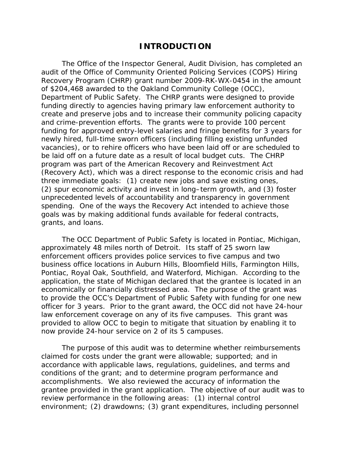### **INTRODUCTION**

 funding directly to agencies having primary law enforcement authority to grants, and loans. The Office of the Inspector General, Audit Division, has completed an audit of the Office of Community Oriented Policing Services (COPS) Hiring Recovery Program (CHRP) grant number 2009-RK-WX-0454 in the amount of \$204,468 awarded to the Oakland Community College (OCC), Department of Public Safety. The CHRP grants were designed to provide create and preserve jobs and to increase their community policing capacity and crime-prevention efforts. The grants were to provide 100 percent funding for approved entry-level salaries and fringe benefits for 3 years for newly hired, full-time sworn officers (including filling existing unfunded vacancies), or to rehire officers who have been laid off or are scheduled to be laid off on a future date as a result of local budget cuts. The CHRP program was part of the American Recovery and Reinvestment Act (Recovery Act), which was a direct response to the economic crisis and had three immediate goals: (1) create new jobs and save existing ones, (2) spur economic activity and invest in long–term growth, and (3) foster unprecedented levels of accountability and transparency in government spending. One of the ways the Recovery Act intended to achieve those goals was by making additional funds available for federal contracts,

 Pontiac, Royal Oak, Southfield, and Waterford, Michigan. According to the The OCC Department of Public Safety is located in Pontiac, Michigan, approximately 48 miles north of Detroit. Its staff of 25 sworn law enforcement officers provides police services to five campus and two business office locations in Auburn Hills, Bloomfield Hills, Farmington Hills, application, the state of Michigan declared that the grantee is located in an economically or financially distressed area. The purpose of the grant was to provide the OCC's Department of Public Safety with funding for one new officer for 3 years. Prior to the grant award, the OCC did not have 24-hour law enforcement coverage on any of its five campuses. This grant was provided to allow OCC to begin to mitigate that situation by enabling it to now provide 24-hour service on 2 of its 5 campuses.

 accomplishments. We also reviewed the accuracy of information the The purpose of this audit was to determine whether reimbursements claimed for costs under the grant were allowable; supported; and in accordance with applicable laws, regulations, guidelines, and terms and conditions of the grant; and to determine program performance and grantee provided in the grant application. The objective of our audit was to review performance in the following areas: (1) internal control environment; (2) drawdowns; (3) grant expenditures, including personnel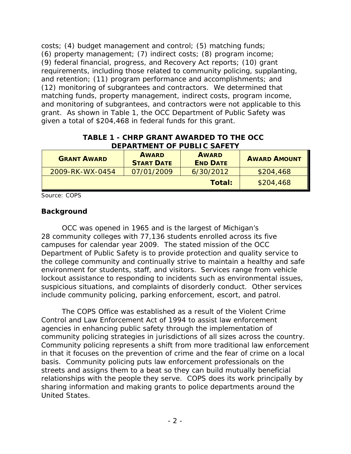and monitoring of subgrantees, and contractors were not applicable to this grant. As shown in Table 1, the OCC Department of Public Safety was given a total of \$204,468 in federal funds for this grant. costs; (4) budget management and control; (5) matching funds; (6) property management; (7) indirect costs; (8) program income; (9) federal financial, progress, and Recovery Act reports; (10) grant requirements, including those related to community policing, supplanting, and retention; (11) program performance and accomplishments; and (12) monitoring of subgrantees and contractors. We determined that matching funds, property management, indirect costs, program income,

| DEPARIMENT OF PUBLIC SAFETY |                                   |                                 |                     |
|-----------------------------|-----------------------------------|---------------------------------|---------------------|
| <b>GRANT AWARD</b>          | <b>AWARD</b><br><b>START DATE</b> | <b>AWARD</b><br><b>END DATE</b> | <b>AWARD AMOUNT</b> |
| 2009-RK-WX-0454             | 07/01/2009                        | 6/30/2012                       | \$204,468           |
|                             |                                   | Total:                          | \$204,468           |

**TABLE 1 - CHRP GRANT AWARDED TO THE OCC DEPARTMENT OF PUBLIC SAFETY**

Source: COPS

### **Background**

 campuses for calendar year 2009. The stated mission of the OCC environment for students, staff, and visitors. Services range from vehicle lockout assistance to responding to incidents such as environmental issues, OCC was opened in 1965 and is the largest of Michigan's 28 community colleges with 77,136 students enrolled across its five Department of Public Safety is to provide protection and quality service to the college community and continually strive to maintain a healthy and safe suspicious situations, and complaints of disorderly conduct. Other services include community policing, parking enforcement, escort, and patrol.

The COPS Office was established as a result of the Violent Crime Control and Law Enforcement Act of 1994 to assist law enforcement agencies in enhancing public safety through the implementation of community policing strategies in jurisdictions of all sizes across the country. Community policing represents a shift from more traditional law enforcement in that it focuses on the prevention of crime and the fear of crime on a local basis. Community policing puts law enforcement professionals on the streets and assigns them to a beat so they can build mutually beneficial relationships with the people they serve. COPS does its work principally by sharing information and making grants to police departments around the United States.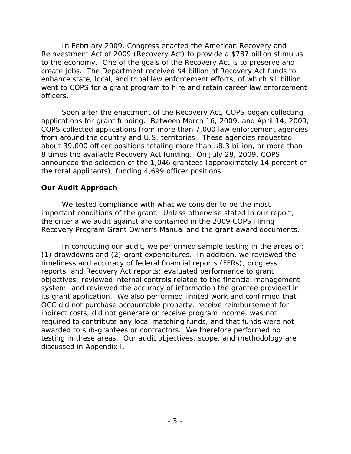create jobs. The Department received \$4 billion of Recovery Act funds to In February 2009, Congress enacted the American Recovery and Reinvestment Act of 2009 (Recovery Act) to provide a \$787 billion stimulus to the economy. One of the goals of the Recovery Act is to preserve and enhance state, local, and tribal law enforcement efforts, of which \$1 billion went to COPS for a grant program to hire and retain career law enforcement officers.

Soon after the enactment of the Recovery Act, COPS began collecting applications for grant funding. Between March 16, 2009, and April 14, 2009, COPS collected applications from more than 7,000 law enforcement agencies from around the country and U.S. territories. These agencies requested about 39,000 officer positions totaling more than \$8.3 billion, or more than 8 times the available Recovery Act funding. On July 28, 2009, COPS announced the selection of the 1,046 grantees (approximately 14 percent of the total applicants), funding 4,699 officer positions.

### **Our Audit Approach**

We tested compliance with what we consider to be the most important conditions of the grant. Unless otherwise stated in our report, the criteria we audit against are contained in the *2009 COPS Hiring Recovery Program Grant Owner's Manual* and the grant award documents.

In conducting our audit, we performed sample testing in the areas of: indirect costs, did not generate or receive program income, was not discussed in Appendix I.  $(1)$  drawdowns and  $(2)$  grant expenditures. In addition, we reviewed the timeliness and accuracy of federal financial reports (FFRs), progress reports, and Recovery Act reports; evaluated performance to grant objectives; reviewed internal controls related to the financial management system; and reviewed the accuracy of information the grantee provided in its grant application. We also performed limited work and confirmed that OCC did not purchase accountable property, receive reimbursement for required to contribute any local matching funds, and that funds were not awarded to sub-grantees or contractors. We therefore performed no testing in these areas. Our audit objectives, scope, and methodology are discussed in Appendix I.<br>- 3 - 3 -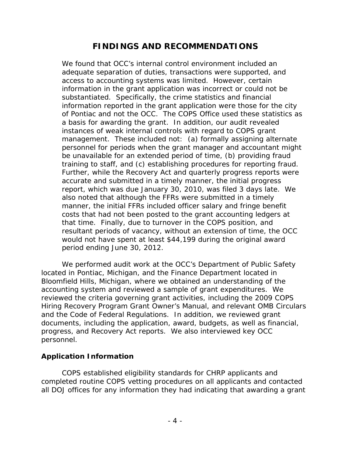# **FINDINGS AND RECOMMENDATIONS**

training to staff, and (c) establishing procedures for reporting fraud. accurate and submitted in a timely manner, the initial progress that time. Finally, due to turnover in the COPS position, and resultant periods of vacancy, without an extension of time, the OCC period ending June 30, 2012. We found that OCC's internal control environment included an adequate separation of duties, transactions were supported, and access to accounting systems was limited. However, certain information in the grant application was incorrect or could not be substantiated. Specifically, the crime statistics and financial information reported in the grant application were those for the city of Pontiac and not the OCC. The COPS Office used these statistics as a basis for awarding the grant. In addition, our audit revealed instances of weak internal controls with regard to COPS grant management. These included not: (a) formally assigning alternate personnel for periods when the grant manager and accountant might be unavailable for an extended period of time, (b) providing fraud Further, while the Recovery Act and quarterly progress reports were report, which was due January 30, 2010, was filed 3 days late. We also noted that although the FFRs were submitted in a timely manner, the initial FFRs included officer salary and fringe benefit costs that had not been posted to the grant accounting ledgers at would not have spent at least \$44,199 during the original award

We performed audit work at the OCC's Department of Public Safety located in Pontiac, Michigan, and the Finance Department located in Bloomfield Hills, Michigan, where we obtained an understanding of the accounting system and reviewed a sample of grant expenditures. We reviewed the criteria governing grant activities, including the *2009 COPS Hiring Recovery Program Grant Owner's Manual*, and relevant OMB Circulars and the Code of Federal Regulations. In addition, we reviewed grant documents, including the application, award, budgets, as well as financial, progress, and Recovery Act reports. We also interviewed key OCC personnel.

## **Application Information**

 all DOJ offices for any information they had indicating that awarding a grant COPS established eligibility standards for CHRP applicants and completed routine COPS vetting procedures on all applicants and contacted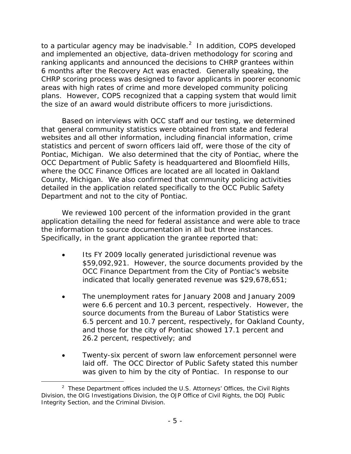to a particular agency may be inadvisable. $^2$  In addition, COPS developed and implemented an objective, data-driven methodology for scoring and ranking applicants and announced the decisions to CHRP grantees within 6 months after the Recovery Act was enacted. Generally speaking, the CHRP scoring process was designed to favor applicants in poorer economic areas with high rates of crime and more developed community policing plans. However, COPS recognized that a capping system that would limit the size of an award would distribute officers to more jurisdictions.

 Pontiac, Michigan. We also determined that the city of Pontiac, where the detailed in the application related specifically to the OCC Public Safety Based on interviews with OCC staff and our testing, we determined that general community statistics were obtained from state and federal websites and all other information, including financial information, crime statistics and percent of sworn officers laid off, were those of the city of OCC Department of Public Safety is headquartered and Bloomfield Hills, where the OCC Finance Offices are located are all located in Oakland County, Michigan. We also confirmed that community policing activities Department and not to the city of Pontiac.

the information to source documentation in all but three instances. the information to source documentation in all but three instances.<br>Specifically, in the grant application the grantee reported that: We reviewed 100 percent of the information provided in the grant application detailing the need for federal assistance and were able to trace

- indicated that locally generated revenue was \$29,678,651; Its FY 2009 locally generated jurisdictional revenue was \$59,092,921. However, the source documents provided by the OCC Finance Department from the City of Pontiac's website
- 26.2 percent, respectively; and The unemployment rates for January 2008 and January 2009 were 6.6 percent and 10.3 percent, respectively. However, the source documents from the Bureau of Labor Statistics were 6.5 percent and 10.7 percent, respectively, for Oakland County, and those for the city of Pontiac showed 17.1 percent and
- was given to him by the city of Pontiac. In response to our Twenty-six percent of sworn law enforcement personnel were laid off. The OCC Director of Public Safety stated this number

<u>.</u>

<span id="page-10-0"></span><sup>&</sup>lt;sup>2</sup> These Department offices included the U.S. Attorneys' Offices, the Civil Rights Division, the OIG Investigations Division, the OJP Office of Civil Rights, the DOJ Public Integrity Section, and the Criminal Division.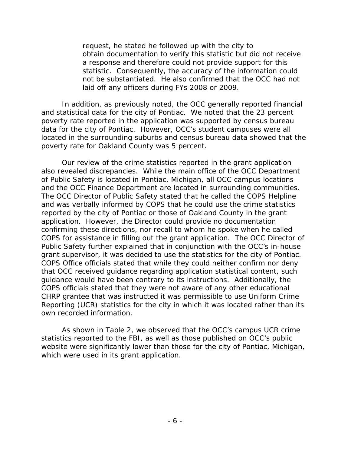request, he stated he followed up with the city to a response and therefore could not provide support for this not be substantiated. He also confirmed that the OCC had not obtain documentation to verify this statistic but did not receive statistic. Consequently, the accuracy of the information could laid off any officers during FYs 2008 or 2009.

 located in the surrounding suburbs and census bureau data showed that the In addition, as previously noted, the OCC generally reported financial and statistical data for the city of Pontiac. We noted that the 23 percent poverty rate reported in the application was supported by census bureau data for the city of Pontiac. However, OCC's student campuses were all poverty rate for Oakland County was 5 percent.

and the OCC Finance Department are located in surrounding communities. grant supervisor, it was decided to use the statistics for the city of Pontiac. Reporting (UCR) statistics for the city in which it was located rather than its Our review of the crime statistics reported in the grant application also revealed discrepancies. While the main office of the OCC Department of Public Safety is located in Pontiac, Michigan, all OCC campus locations The OCC Director of Public Safety stated that he called the COPS Helpline and was verbally informed by COPS that he could use the crime statistics reported by the city of Pontiac or those of Oakland County in the grant application. However, the Director could provide no documentation confirming these directions, nor recall to whom he spoke when he called COPS for assistance in filling out the grant application. The OCC Director of Public Safety further explained that in conjunction with the OCC's in-house COPS Office officials stated that while they could neither confirm nor deny that OCC received guidance regarding application statistical content, such guidance would have been contrary to its instructions. Additionally, the COPS officials stated that they were not aware of any other educational CHRP grantee that was instructed it was permissible to use Uniform Crime own recorded information.

As shown in Table 2, we observed that the OCC's campus UCR crime statistics reported to the FBI, as well as those published on OCC's public website were significantly lower than those for the city of Pontiac, Michigan, which were used in its grant application.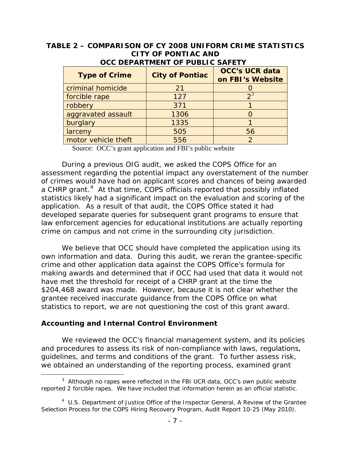# **TABLE 2 – COMPARISON OF CY 2008 UNIFORM CRIME STATISTICS CITY OF PONTIAC AND**

| <b>Type of Crime</b> | <b>City of Pontiac</b> | <b>OCC's UCR data</b><br>on FBI's Website |
|----------------------|------------------------|-------------------------------------------|
| criminal homicide    | 21                     |                                           |
| forcible rape        | 127                    | ົງ:                                       |
| robbery              | 371                    |                                           |
| aggravated assault   | 1306                   |                                           |
| burglary             | 1335                   |                                           |
| larceny              | 505                    | 56                                        |
| motor vehicle theft  | 556                    |                                           |

## **OCC DEPARTMENT OF PUBLIC SAFETY**

Source: OCC's grant application and FBI's public website

a CHRP grant.<sup>4</sup> At that time, COPS officials reported that possibly inflated statistics likely had a significant impact on the evaluation and scoring of the developed separate queries for subsequent grant programs to ensure that crime on campus and not crime in the surrounding city jurisdiction. During a previous OIG audit, we asked the COPS Office for an assessment regarding the potential impact any overstatement of the number of crimes would have had on applicant scores and chances of being awarded application. As a result of that audit, the COPS Office stated it had law enforcement agencies for educational institutions are actually reporting

 have met the threshold for receipt of a CHRP grant at the time the \$204,468 award was made. However, because it is not clear whether the statistics to report, we are not questioning the cost of this grant award. We believe that OCC should have completed the application using its own information and data. During this audit, we reran the grantee-specific crime and other application data against the COPS Office's formula for making awards and determined that if OCC had used that data it would not grantee received inaccurate guidance from the COPS Office on what

### **Accounting and Internal Control Environment**

<u>.</u>

We reviewed the OCC's financial management system, and its policies and procedures to assess its risk of non-compliance with laws, regulations, guidelines, and terms and conditions of the grant. To further assess risk, we obtained an understanding of the reporting process, examined grant

<span id="page-12-0"></span> $3$  Although no rapes were reflected in the FBI UCR data, OCC's own public website reported 2 forcible rapes. We have included that information herein as an official statistic.

<span id="page-12-1"></span> 4 U.S. Department of Justice Office of the Inspector General, *A Review of the Grantee Selection Process for the COPS Hiring Recovery Program*, Audit Report 10-25 (May 2010).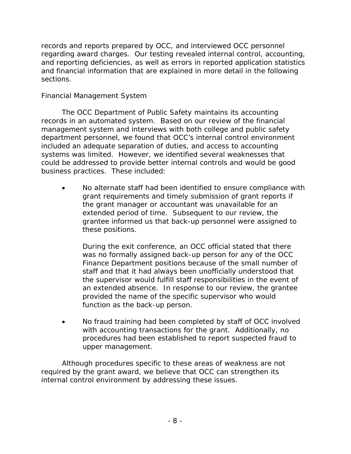sections. records and reports prepared by OCC, and interviewed OCC personnel regarding award charges. Our testing revealed internal control, accounting, and reporting deficiencies, as well as errors in reported application statistics and financial information that are explained in more detail in the following

## *Financial Management System*

 business practices. These included: The OCC Department of Public Safety maintains its accounting records in an automated system. Based on our review of the financial management system and interviews with both college and public safety department personnel, we found that OCC's internal control environment included an adequate separation of duties, and access to accounting systems was limited. However, we identified several weaknesses that could be addressed to provide better internal controls and would be good

 the grant manager or accountant was unavailable for an No alternate staff had been identified to ensure compliance with grant requirements and timely submission of grant reports if extended period of time. Subsequent to our review, the grantee informed us that back-up personnel were assigned to these positions.

 Finance Department positions because of the small number of During the exit conference, an OCC official stated that there was no formally assigned back-up person for any of the OCC staff and that it had always been unofficially understood that the supervisor would fulfill staff responsibilities in the event of an extended absence. In response to our review, the grantee provided the name of the specific supervisor who would function as the back-up person.

 with accounting transactions for the grant. Additionally, no procedures had been established to report suspected fraud to No fraud training had been completed by staff of OCC involved upper management.

Although procedures specific to these areas of weakness are not required by the grant award, we believe that OCC can strengthen its internal control environment by addressing these issues.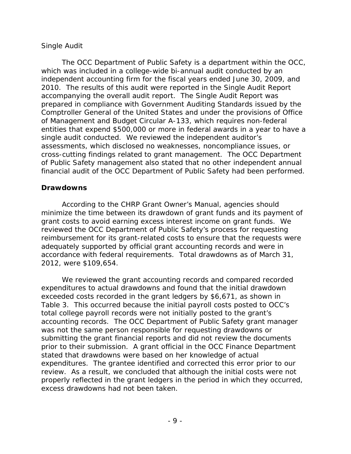### *Single Audit*

 2010. The results of this audit were reported in the Single Audit Report prepared in compliance with Government Auditing Standards issued by the entities that expend \$500,000 or more in federal awards in a year to have a single audit conducted. We reviewed the independent auditor's financial audit of the OCC Department of Public Safety had been performed. The OCC Department of Public Safety is a department within the OCC, which was included in a college-wide bi-annual audit conducted by an independent accounting firm for the fiscal years ended June 30, 2009, and accompanying the overall audit report. The Single Audit Report was Comptroller General of the United States and under the provisions of Office of Management and Budget Circular A-133, which requires non-federal assessments, which disclosed no weaknesses, noncompliance issues, or cross-cutting findings related to grant management. The OCC Department of Public Safety management also stated that no other independent annual

### **Drawdowns**

 grant costs to avoid earning excess interest income on grant funds. We adequately supported by official grant accounting records and were in accordance with federal requirements. Total drawdowns as of March 31, According to the CHRP Grant Owner's Manual, agencies should minimize the time between its drawdown of grant funds and its payment of reviewed the OCC Department of Public Safety's process for requesting reimbursement for its grant-related costs to ensure that the requests were 2012, were \$109,654.

 accounting records. The OCC Department of Public Safety grant manager We reviewed the grant accounting records and compared recorded expenditures to actual drawdowns and found that the initial drawdown exceeded costs recorded in the grant ledgers by \$6,671, as shown in Table 3. This occurred because the initial payroll costs posted to OCC's total college payroll records were not initially posted to the grant's was not the same person responsible for requesting drawdowns or submitting the grant financial reports and did not review the documents prior to their submission. A grant official in the OCC Finance Department stated that drawdowns were based on her knowledge of actual expenditures. The grantee identified and corrected this error prior to our review. As a result, we concluded that although the initial costs were not properly reflected in the grant ledgers in the period in which they occurred, excess drawdowns had not been taken.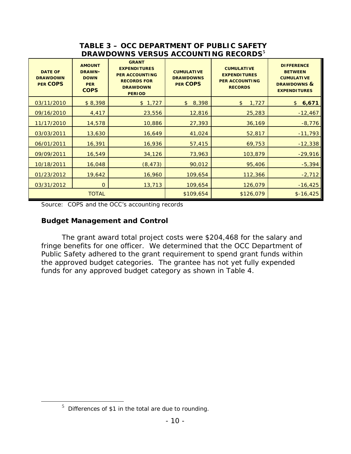## **DRAWDOWNS VERSUS ACCOUNTING RECORDS[5](#page-15-0) TABLE 3 – OCC DEPARTMENT OF PUBLIC SAFETY**

| <b>DATE OF</b><br><b>DRAWDOWN</b><br><b>PER COPS</b> | <b>AMOUNT</b><br><b>DRAWN-</b><br><b>DOWN</b><br><b>PER</b><br><b>COPS</b> | <b>GRANT</b><br><b>EXPENDITURES</b><br><b>PER ACCOUNTING</b><br><b>RECORDS FOR</b><br><b>DRAWDOWN</b><br><b>PERIOD</b> | <b>CUMULATIVE</b><br><b>DRAWDOWNS</b><br><b>PER COPS</b> | <b>CUMULATIVE</b><br><b>EXPENDITURES</b><br><b>PER ACCOUNTING</b><br><b>RECORDS</b> | <b>DIFFERENCE</b><br><b>BETWEEN</b><br><b>CUMULATIVE</b><br><b>DRAWDOWNS &amp;</b><br><b>EXPENDITURES</b> |
|------------------------------------------------------|----------------------------------------------------------------------------|------------------------------------------------------------------------------------------------------------------------|----------------------------------------------------------|-------------------------------------------------------------------------------------|-----------------------------------------------------------------------------------------------------------|
| 03/11/2010                                           | \$8,398                                                                    | \$1,727                                                                                                                | 8,398<br>\$                                              | 1,727<br>\$                                                                         | 6,671<br>\$                                                                                               |
| 09/16/2010                                           | 4,417                                                                      | 23,556                                                                                                                 | 12,816                                                   | 25,283                                                                              | $-12,467$                                                                                                 |
| 11/17/2010                                           | 14,578                                                                     | 10,886                                                                                                                 | 27,393                                                   | 36,169                                                                              | $-8,776$                                                                                                  |
| 03/03/2011                                           | 13,630                                                                     | 16,649                                                                                                                 | 41,024                                                   | 52,817                                                                              | $-11,793$                                                                                                 |
| 06/01/2011                                           | 16,391                                                                     | 16,936                                                                                                                 | 57,415                                                   | 69,753                                                                              | $-12,338$                                                                                                 |
| 09/09/2011                                           | 16,549                                                                     | 34,126                                                                                                                 | 73,963                                                   | 103,879                                                                             | $-29,916$                                                                                                 |
| 10/18/2011                                           | 16,048                                                                     | (8, 473)                                                                                                               | 90,012                                                   | 95,406                                                                              | $-5,394$                                                                                                  |
| 01/23/2012                                           | 19,642                                                                     | 16,960                                                                                                                 | 109,654                                                  | 112,366                                                                             | $-2,712$                                                                                                  |
| 03/31/2012                                           | 0                                                                          | 13,713                                                                                                                 | 109,654                                                  | 126,079                                                                             | $-16,425$                                                                                                 |
|                                                      | <b>TOTAL</b>                                                               |                                                                                                                        | \$109,654                                                | \$126,079                                                                           | $$-16,425$                                                                                                |

Source: COPS and the OCC's accounting records

## **Budget Management and Control**

 the approved budget categories. The grantee has not yet fully expended funds for any approved budget category as shown in Table 4. The grant award total project costs were \$204,468 for the salary and fringe benefits for one officer. We determined that the OCC Department of Public Safety adhered to the grant requirement to spend grant funds within

<span id="page-15-0"></span> $\overline{a}$ 

 $5$  Differences of \$1 in the total are due to rounding.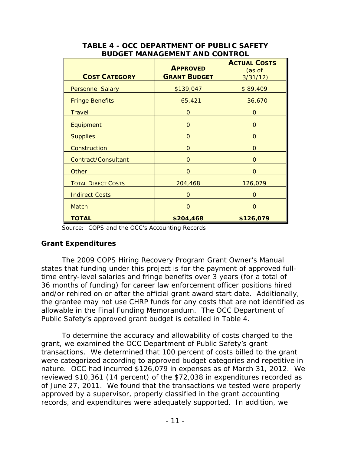| <b>COST CATEGORY</b>      | <b>APPROVED</b><br><b>GRANT BUDGET</b> | <b>ACTUAL COSTS</b><br>(as of<br>3/31/12) |
|---------------------------|----------------------------------------|-------------------------------------------|
| <b>Personnel Salary</b>   | \$139,047                              | \$89,409                                  |
| <b>Fringe Benefits</b>    | 65,421                                 | 36,670                                    |
| <b>Travel</b>             | $\Omega$                               | $\Omega$                                  |
| Equipment                 | 0                                      | 0                                         |
| <b>Supplies</b>           | $\Omega$                               | $\Omega$                                  |
| Construction              | $\Omega$                               | $\Omega$                                  |
| Contract/Consultant       | $\Omega$                               | $\Omega$                                  |
| Other                     | $\Omega$                               | $\Omega$                                  |
| <b>TOTAL DIRECT COSTS</b> | 204,468                                | 126,079                                   |
| <b>Indirect Costs</b>     | $\Omega$                               | $\Omega$                                  |
| Match                     | $\Omega$                               | $\Omega$                                  |
| <b>TOTAL</b>              | \$204,468                              | \$126,079                                 |

### **TABLE 4 - OCC DEPARTMENT OF PUBLIC SAFETY BUDGET MANAGEMENT AND CONTROL**

Source: COPS and the OCC's Accounting Records

## **Grant Expenditures**

 allowable in the Final Funding Memorandum. The OCC Department of Public Safety's approved grant budget is detailed in Table 4. The *2009 COPS Hiring Recovery Program Grant Owner's Manual*  states that funding under this project is for the payment of approved fulltime entry-level salaries and fringe benefits over 3 years (for a total of 36 months of funding) for career law enforcement officer positions hired and/or rehired on or after the official grant award start date. Additionally, the grantee may not use CHRP funds for any costs that are not identified as

 of June 27, 2011. We found that the transactions we tested were properly To determine the accuracy and allowability of costs charged to the grant, we examined the OCC Department of Public Safety's grant transactions. We determined that 100 percent of costs billed to the grant were categorized according to approved budget categories and repetitive in nature. OCC had incurred \$126,079 in expenses as of March 31, 2012. We reviewed \$10,361 (14 percent) of the \$72,038 in expenditures recorded as approved by a supervisor, properly classified in the grant accounting records, and expenditures were adequately supported. In addition, we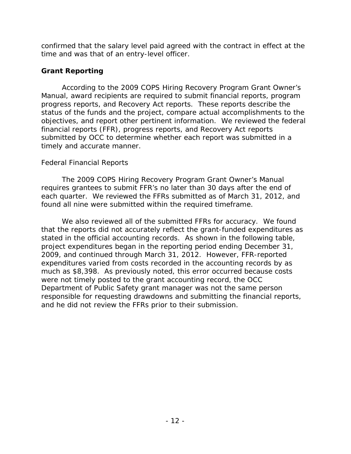confirmed that the salary level paid agreed with the contract in effect at the time and was that of an entry-level officer.

## **Grant Reporting**

 According to the *2009 COPS Hiring Recovery Program Grant Owner's*  objectives, and report other pertinent information. We reviewed the federal financial reports (FFR), progress reports, and Recovery Act reports *Manual*, award recipients are required to submit financial reports, program progress reports, and Recovery Act reports. These reports describe the status of the funds and the project, compare actual accomplishments to the submitted by OCC to determine whether each report was submitted in a timely and accurate manner.

## *Federal Financial Reports*

The *2009 COPS Hiring Recovery Program Grant Owner's Manual*  requires grantees to submit FFR's no later than 30 days after the end of each quarter. We reviewed the FFRs submitted as of March 31, 2012, and found all nine were submitted within the required timeframe.

 We also reviewed all of the submitted FFRs for accuracy. We found stated in the official accounting records. As shown in the following table, and he did not review the FFRs prior to their submission. that the reports did not accurately reflect the grant-funded expenditures as project expenditures began in the reporting period ending December 31, 2009, and continued through March 31, 2012. However, FFR-reported expenditures varied from costs recorded in the accounting records by as much as \$8,398. As previously noted, this error occurred because costs were not timely posted to the grant accounting record, the OCC Department of Public Safety grant manager was not the same person responsible for requesting drawdowns and submitting the financial reports, and he did not review the FFRs prior to their submission.<br> $-12$  -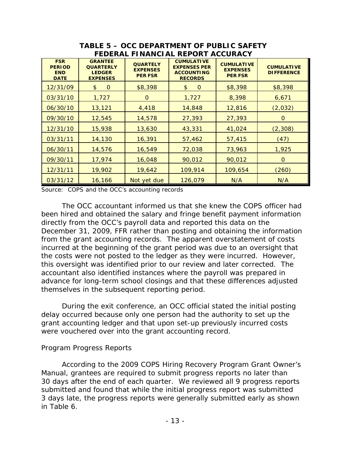| <b>FSR</b><br><b>PERIOD</b><br><b>END</b><br><b>DATE</b> | <b>GRANTEE</b><br><b>QUARTERLY</b><br><b>LEDGER</b><br><b>EXPENSES</b> | <b>QUARTELY</b><br><b>EXPENSES</b><br><b>PER FSR</b> | <b>CUMULATIVE</b><br><b>EXPENSES PER</b><br><b>ACCOUNTING</b><br><b>RECORDS</b> | <b>CUMULATIVE</b><br><b>EXPENSES</b><br><b>PER FSR</b> | <b>CUMULATIVE</b><br><b>DIFFERENCE</b> |
|----------------------------------------------------------|------------------------------------------------------------------------|------------------------------------------------------|---------------------------------------------------------------------------------|--------------------------------------------------------|----------------------------------------|
| 12/31/09                                                 | $\Omega$<br>\$                                                         | \$8,398                                              | \$<br>$\mathbf 0$                                                               | \$8,398                                                | \$8,398                                |
| 03/31/10                                                 | 1,727                                                                  | $\Omega$                                             | 1,727                                                                           | 8,398                                                  | 6,671                                  |
| 06/30/10                                                 | 13,121                                                                 | 4,418                                                | 14,848                                                                          | 12,816                                                 | (2,032)                                |
| 09/30/10                                                 | 12,545                                                                 | 14,578                                               | 27,393                                                                          | 27,393                                                 | 0                                      |
| 12/31/10                                                 | 15,938                                                                 | 13,630                                               | 43,331                                                                          | 41,024                                                 | (2, 308)                               |
| 03/31/11                                                 | 14,130                                                                 | 16,391                                               | 57,462                                                                          | 57,415                                                 | (47)                                   |
| 06/30/11                                                 | 14,576                                                                 | 16,549                                               | 72,038                                                                          | 73,963                                                 | 1,925                                  |
| 09/30/11                                                 | 17,974                                                                 | 16,048                                               | 90,012                                                                          | 90,012                                                 | $\mathbf 0$                            |
| 12/31/11                                                 | 19,902                                                                 | 19,642                                               | 109,914                                                                         | 109,654                                                | (260)                                  |
| 03/31/12                                                 | 16,166                                                                 | Not yet due                                          | 126,079                                                                         | N/A                                                    | N/A                                    |

**TABLE 5 – OCC DEPARTMENT OF PUBLIC SAFETY FEDERAL FINANCIAL REPORT ACCURACY**

Source: COPS and the OCC's accounting records

 directly from the OCC's payroll data and reported this data on the The OCC accountant informed us that she knew the COPS officer had been hired and obtained the salary and fringe benefit payment information December 31, 2009, FFR rather than posting and obtaining the information from the grant accounting records. The apparent overstatement of costs incurred at the beginning of the grant period was due to an oversight that the costs were not posted to the ledger as they were incurred. However, this oversight was identified prior to our review and later corrected. The accountant also identified instances where the payroll was prepared in advance for long-term school closings and that these differences adjusted themselves in the subsequent reporting period.

 During the exit conference, an OCC official stated the initial posting were vouchered over into the grant accounting record. delay occurred because only one person had the authority to set up the grant accounting ledger and that upon set-up previously incurred costs

### *Program Progress Reports*

 According to the *2009 COPS Hiring Recovery Program Grant Owner's*  30 days after the end of each quarter. We reviewed all 9 progress reports *Manual*, grantees are required to submit progress reports no later than submitted and found that while the initial progress report was submitted 3 days late, the progress reports were generally submitted early as shown in Table 6.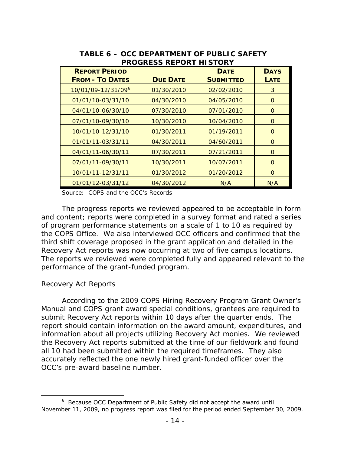| <b>REPORT PERIOD</b><br><b>FROM - TO DATES</b> | <b>DUE DATE</b> | <b>DATE</b><br><b>SUBMITTED</b> | <b>DAYS</b><br><b>LATE</b> |
|------------------------------------------------|-----------------|---------------------------------|----------------------------|
| 10/01/09-12/31/09 <sup>6</sup>                 | 01/30/2010      | 02/02/2010                      | 3                          |
| 01/01/10-03/31/10                              | 04/30/2010      | 04/05/2010                      | 0                          |
| 04/01/10-06/30/10                              | 07/30/2010      | 07/01/2010                      | O                          |
| 07/01/10-09/30/10                              | 10/30/2010      | 10/04/2010                      | 0                          |
| 10/01/10-12/31/10                              | 01/30/2011      | 01/19/2011                      | O                          |
| 01/01/11-03/31/11                              | 04/30/2011      | 04/60/2011                      | O                          |
| 04/01/11-06/30/11                              | 07/30/2011      | 07/21/2011                      | $\Omega$                   |
| 07/01/11-09/30/11                              | 10/30/2011      | 10/07/2011                      | 0                          |
| 10/01/11-12/31/11                              | 01/30/2012      | 01/20/2012                      | O                          |
| 01/01/12-03/31/12                              | 04/30/2012      | N/A                             | N/A                        |

### **TABLE 6 – OCC DEPARTMENT OF PUBLIC SAFETY PROGRESS REPORT HISTORY**

Source: COPS and the OCC's Records

 the COPS Office. We also interviewed OCC officers and confirmed that the Recovery Act reports was now occurring at two of five campus locations. The progress reports we reviewed appeared to be acceptable in form and content; reports were completed in a survey format and rated a series of program performance statements on a scale of 1 to 10 as required by third shift coverage proposed in the grant application and detailed in the The reports we reviewed were completed fully and appeared relevant to the performance of the grant-funded program.

### *Recovery Act Reports*

 $\overline{a}$ 

 According to the *2009 COPS Hiring Recovery Program Grant Owner's*  information about all projects utilizing Recovery Act monies. We reviewed all 10 had been submitted within the required timeframes. They also OCC's pre-award baseline number. OCC's pre-award baseline number. 6 Because OCC Department of Public Safety did not accept the award until *Manual* and COPS grant award special conditions, grantees are required to submit Recovery Act reports within 10 days after the quarter ends. The report should contain information on the award amount, expenditures, and the Recovery Act reports submitted at the time of our fieldwork and found accurately reflected the one newly hired grant-funded officer over the

<span id="page-19-0"></span> November 11, 2009, no progress report was filed for the period ended September 30, 2009.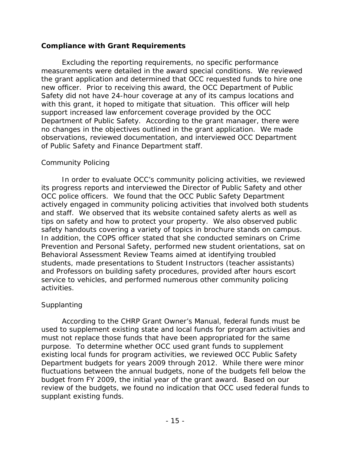### **Compliance with Grant Requirements**

 measurements were detailed in the award special conditions. We reviewed support increased law enforcement coverage provided by the OCC no changes in the objectives outlined in the grant application. We made Excluding the reporting requirements, no specific performance the grant application and determined that OCC requested funds to hire one new officer. Prior to receiving this award, the OCC Department of Public Safety did not have 24-hour coverage at any of its campus locations and with this grant, it hoped to mitigate that situation. This officer will help Department of Public Safety. According to the grant manager, there were observations, reviewed documentation, and interviewed OCC Department of Public Safety and Finance Department staff.

### *Community Policing*

 and staff. We observed that its website contained safety alerts as well as safety handouts covering a variety of topics in brochure stands on campus. In order to evaluate OCC's community policing activities, we reviewed its progress reports and interviewed the Director of Public Safety and other OCC police officers. We found that the OCC Public Safety Department actively engaged in community policing activities that involved both students tips on safety and how to protect your property. We also observed public In addition, the COPS officer stated that she conducted seminars on Crime Prevention and Personal Safety, performed new student orientations, sat on Behavioral Assessment Review Teams aimed at identifying troubled students, made presentations to Student Instructors (teacher assistants) and Professors on building safety procedures, provided after hours escort service to vehicles, and performed numerous other community policing activities.

## *Supplanting*

 According to the CHRP Grant Owner's Manual, federal funds must be used to supplement existing state and local funds for program activities and must not replace those funds that have been appropriated for the same purpose. To determine whether OCC used grant funds to supplement existing local funds for program activities, we reviewed OCC Public Safety Department budgets for years 2009 through 2012. While there were minor fluctuations between the annual budgets, none of the budgets fell below the budget from FY 2009, the initial year of the grant award. Based on our review of the budgets, we found no indication that OCC used federal funds to supplant existing funds.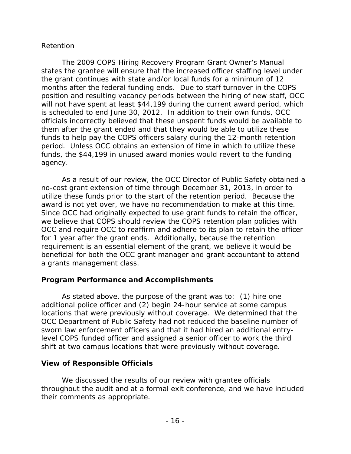### *Retention*

 months after the federal funding ends. Due to staff turnover in the COPS agency. The *2009 COPS Hiring Recovery Program Grant Owner's Manual*  states the grantee will ensure that the increased officer staffing level under the grant continues with state and/or local funds for a minimum of 12 position and resulting vacancy periods between the hiring of new staff, OCC will not have spent at least \$44,199 during the current award period, which is scheduled to end June 30, 2012. In addition to their own funds, OCC officials incorrectly believed that these unspent funds would be available to them after the grant ended and that they would be able to utilize these funds to help pay the COPS officers salary during the 12-month retention period. Unless OCC obtains an extension of time in which to utilize these funds, the \$44,199 in unused award monies would revert to the funding

 a grants management class. As a result of our review, the OCC Director of Public Safety obtained a no-cost grant extension of time through December 31, 2013, in order to utilize these funds prior to the start of the retention period. Because the award is not yet over, we have no recommendation to make at this time. Since OCC had originally expected to use grant funds to retain the officer, we believe that COPS should review the COPS retention plan policies with OCC and require OCC to reaffirm and adhere to its plan to retain the officer for 1 year after the grant ends. Additionally, because the retention requirement is an essential element of the grant, we believe it would be beneficial for both the OCC grant manager and grant accountant to attend

### **Program Performance and Accomplishments**

 locations that were previously without coverage. We determined that the As stated above, the purpose of the grant was to: (1) hire one additional police officer and (2) begin 24-hour service at some campus OCC Department of Public Safety had not reduced the baseline number of sworn law enforcement officers and that it had hired an additional entrylevel COPS funded officer and assigned a senior officer to work the third shift at two campus locations that were previously without coverage.

### **View of Responsible Officials**

We discussed the results of our review with grantee officials throughout the audit and at a formal exit conference, and we have included their comments as appropriate.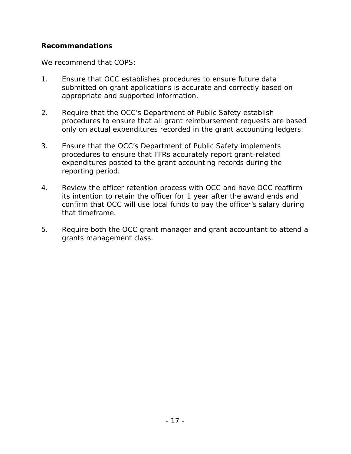### **Recommendations**

We recommend that COPS:

- 1. Ensure that OCC establishes procedures to ensure future data submitted on grant applications is accurate and correctly based on appropriate and supported information.
- 2. Require that the OCC's Department of Public Safety establish procedures to ensure that all grant reimbursement requests are based
- only on actual expenditures recorded in the grant accounting ledgers. 3. Ensure that the OCC's Department of Public Safety implements procedures to ensure that FFRs accurately report grant-related expenditures posted to the grant accounting records during the reporting period.
- its intention to retain the officer for 1 year after the award ends and confirm that OCC will use local funds to pay the officer's salary during 4. Review the officer retention process with OCC and have OCC reaffirm that timeframe.
- 5. Require both the OCC grant manager and grant accountant to attend a grants management class.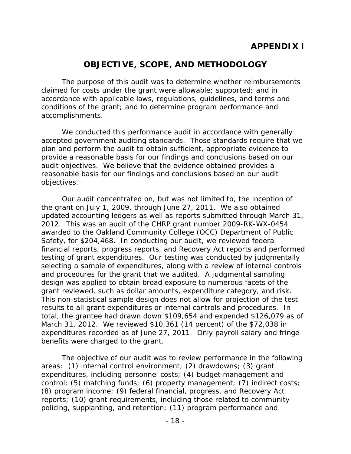# **OBJECTIVE, SCOPE, AND METHODOLOGY**

The purpose of this audit was to determine whether reimbursements claimed for costs under the grant were allowable; supported; and in accordance with applicable laws, regulations, guidelines, and terms and conditions of the grant; and to determine program performance and accomplishments.

 reasonable basis for our findings and conclusions based on our audit We conducted this performance audit in accordance with generally accepted government auditing standards. Those standards require that we plan and perform the audit to obtain sufficient, appropriate evidence to provide a reasonable basis for our findings and conclusions based on our audit objectives. We believe that the evidence obtained provides a objectives.

 results to all grant expenditures or internal controls and procedures. In March 31, 2012. We reviewed \$10,361 (14 percent) of the \$72,038 in expenditures recorded as of June 27, 2011. Only payroll salary and fringe benefits were charged to the grant. Our audit concentrated on, but was not limited to, the inception of the grant on July 1, 2009, through June 27, 2011. We also obtained updated accounting ledgers as well as reports submitted through March 31, 2012. This was an audit of the CHRP grant number 2009-RK-WX-0454 awarded to the Oakland Community College (OCC) Department of Public Safety, for \$204,468. In conducting our audit, we reviewed federal financial reports, progress reports, and Recovery Act reports and performed testing of grant expenditures. Our testing was conducted by judgmentally selecting a sample of expenditures, along with a review of internal controls and procedures for the grant that we audited. A judgmental sampling design was applied to obtain broad exposure to numerous facets of the grant reviewed, such as dollar amounts, expenditure category, and risk. This non-statistical sample design does not allow for projection of the test total, the grantee had drawn down \$109,654 and expended \$126,079 as of

The objective of our audit was to review performance in the following areas: (1) internal control environment; (2) drawdowns; (3) grant expenditures, including personnel costs; (4) budget management and control; (5) matching funds; (6) property management; (7) indirect costs; (8) program income; (9) federal financial, progress, and Recovery Act reports; (10) grant requirements, including those related to community policing, supplanting, and retention; (11) program performance and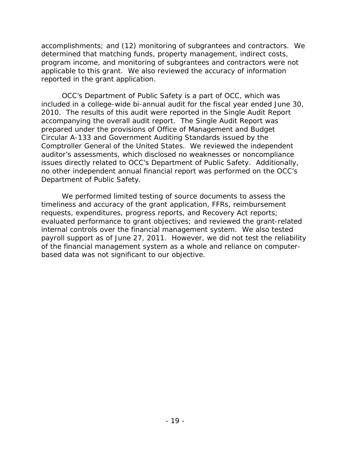accomplishments; and (12) monitoring of subgrantees and contractors. We determined that matching funds, property management, indirect costs, program income, and monitoring of subgrantees and contractors were not applicable to this grant. We also reviewed the accuracy of information reported in the grant application.

 2010. The results of this audit were reported in the Single Audit Report Department of Public Safety. OCC's Department of Public Safety is a part of OCC, which was included in a college-wide bi-annual audit for the fiscal year ended June 30, accompanying the overall audit report. The Single Audit Report was prepared under the provisions of Office of Management and Budget Circular A-133 and Government Auditing Standards issued by the Comptroller General of the United States. We reviewed the independent auditor's assessments, which disclosed no weaknesses or noncompliance issues directly related to OCC's Department of Public Safety. Additionally, no other independent annual financial report was performed on the OCC's

based data was not significant to our objective. We performed limited testing of source documents to assess the timeliness and accuracy of the grant application, FFRs, reimbursement requests, expenditures, progress reports, and Recovery Act reports; evaluated performance to grant objectives; and reviewed the grant-related internal controls over the financial management system. We also tested payroll support as of June 27, 2011. However, we did not test the reliability of the financial management system as a whole and reliance on computerbased data was not significant to our objective. - 19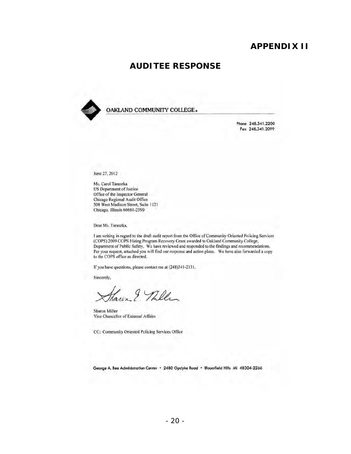## **APPENDIX II**

### **AUDITEE RESPONSE**



OAKLAND COMMUNITY COlLEGE.

Phone 248.341.2200 FOl *2.8.3.41.1099* 

June 27, 2012

Ms. Carol Taraszka US Department of Justice Office of the Inspector General Chicago Regional Audit Office 500 West Madison Street, Suite 1121 Chicago, Illinois 6066 1·2590

Dear Ms. Taraszka,

I am writing in regard to the draft audit report from the Office of Community Oriented Policing Services (COPS) 2009 COPS Hiring Program Recovery Grant awarded to Oakland Community College, Department of Public Safety. We have reviewed and responded to the findings and recommendations. Per your request, attached you will find our response and action plans. We have also forwarded a copy to the COPS office as directed.

If you have questions, please contact me at (248)341-2131.

Sincerely,

Janen & Miller

Sharon Miller Vice Chancellor of External AlTairs

CC; Community Oriented Policing Services Office

George A. Bee Administration Center • 2480 Opdyke Road • Bloomfield Hills MI 48304-2266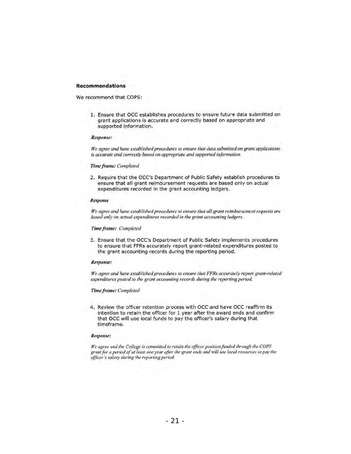#### **Recommendations**

We recommend that COPS:

1. Ensure that OCC establishes procedures to ensure future data submitted on grant applications is accurate and correctly based on appropriate and supported information.

#### *Respon.fe:*

*We agree and have established procedures to ensure that data submitted on grant applications* is accurate and correctly based on appropriate and supported information.

#### *Time/rame: Completed*

2. Require that the OCC's Department of Public Safety establish procedures to ensure that ali grant reimbursement requests are based only on actual expenditures recorded in the grant accounting ledgers.

#### *Response*

*We agree and have established procedures to ensure that all grant reimbursement requests are based only on actual expenditures recorded in the grant accounting ledgers.* 

#### **Time frame: Completed**

3. Ensure that the OCC's Department of Public Safety Implements procedures to ensure that FFRs accurately report grant-related expenditures posted to the grant accounting records during the reporting period.

#### $Response:$

*We agree and have established procedures to ensure that FFRs accurately report grant-related expenditures posted to the grant accounting records during the reporting period.* 

#### *Time frame: Compleled*

4. Review the officer retention process with OCC and have OCC reaffirm its Intention to retain the officer for 1 year after the award ends and confirm that OCC will use local funds to pay the officer's salary during that timeframe.

#### Response:

We agree and the College is committed to retain the officer position funded through the COPS grant for a period of at least one year after the grant ends and will use local resources to pay the *officer·s salary during the repurting period.*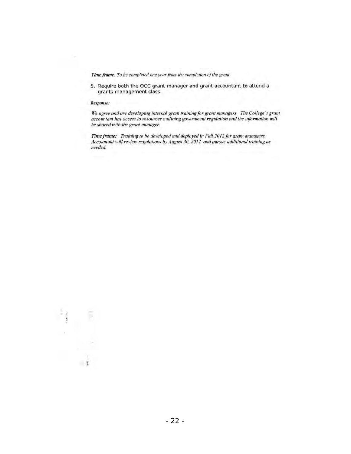Time frame: To be completed one year from the completion of the grant.

S. Require both the OCC grant manager and grant accountant to attend a grants management class.

#### *Respollse:*

 $\bar{1}$ 

We agree and are developing internal grant training for grant managers. The College's grant accountant has access to resources outlining government regulation and the information will  $be$  shared with the grant manager.

Time frame: Training to be developed and deployed in Fall 2012 for grant managers. Accountant will review regulations by August 30, 2012 and pursue additional training as *neeclccl.* 

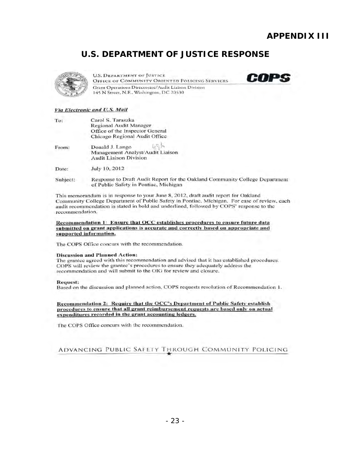**COPS** 

# **U.S. DEPARTMENT OF JUSTICE RESPONSE**



**U.S. DEPARTMENT OF JUSTICE** OFFICE OF COMMUNITY ORIENTED POLICING SERVICES Grant Operations Directorate/Audit Liaison Division 145 N Street, N.E., Washington, DC 20530

#### $V$ ia Electronic and U.S. Mail

| To:      | Carol S. Taraszka<br>Regional Audit Manager                                          |  |  |
|----------|--------------------------------------------------------------------------------------|--|--|
|          | Office of the Inspector General<br>Chicago Regional Audit Office                     |  |  |
| From:    | Donald J. Lango<br>Management Analyst/Audit Liaison<br><b>Audit Liaison Division</b> |  |  |
| Date:    | July 10, 2012                                                                        |  |  |
| Subject: | Response to Draft Audit Report for the Oaklan                                        |  |  |

d Community College Department of Public Safety in Pontiac, Michigan

This memorandum is in response to your June 8, 2012, draft audit report for Oakland Community College Department of Public Safety in Pontiac, Michigan. For ease of review, each audit recommendation is stated in bold and underlined, followed by COPS' response to the recommendation.

Recommendation 1: Ensure that OCC establishes procedures to ensure future data submitted on grant applications is accurate and correctly based on appropriate and supported information.

The COPS Office concurs with the recommendation.

#### Discussion and Planned Action:

The grantee agreed with this recommendation and advised that it has established procedures. COPS will review the grantec's procedures to ensure they adequately address the recommendation and will submit to the OIG for review and closure.

#### Request:

Based on the discussion and planned action, COPS requests resolution of Recommendation 1.

Recommendation 2: Require that the OCC's Department of Public Safety establish procedures to ensure that all grant reimbursement requests are based only on actual expenditures recorded in the grant accounting ledgers.

The COPS Office concurs with the recommendation.

### ADVANCING PUBLIC SAFETY THROUGH COMMUNITY POLICING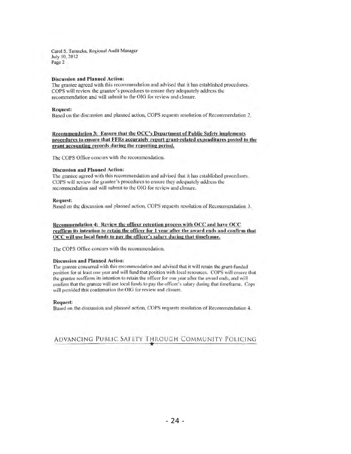Carol S. Taraszka, Regional Audit Manager July 10, 2012 Page 2

#### Discussion and Planned Action:

The grantee agreed with this recommendation and advised that it has established procedures. COPS will review the grantee's procedures to ensure they adequately address the recommendation and will submit to the OIG for review and closure.

#### Request:

Based on the discussion and planned action, COPS requests resolution of Recommendation 2.

Recommendation 3: Ensure that the OCC's Department of Public Safety implements procedures to ensure that FFRs accurately report grant-related expenditures posted to the grant accounting records during the reporting period.

The COPS Office concurs with the recommendation.

#### Discussion and Planned Action:

The grantee agreed with this recommendation and advised that it has established procedures. COPS will review the grantee's proccdures to ensure they adequately address the recommendation and will submit to the OIG for review and closure.

#### Request:

Based on the discussion and planned action, COPS requests resolution of Recommendation 3.

Recommendation 4: Review the officer retention process with OCC and have OCC reaffirm its intention to retain the offieer for 1 vear after the award ends and confirm that OCC will use local funds to pay the officer's salary during that timeframe.

The COPS Office concurs with the recommendation.

#### Discussion and Planned Action:

The grantee concurred with this recommendation and advised that it will retain the grant-funded position for at least one year and will fund that position with local resources. COPS will ensure that the grantee reaffirms its intention to retain the officer for one year after the award ends, and will confirm that the grantee will use local funds to pay the officer's salary during that timeframe. Cops will provided this confirmation the OIG for review and closure.

#### Request:

Based on the discussion and planned action, COPS requests resolution of Recommendation 4.

**ADVANCING PUBLIC SAFETY THROUGH COMMUNITY POLICING**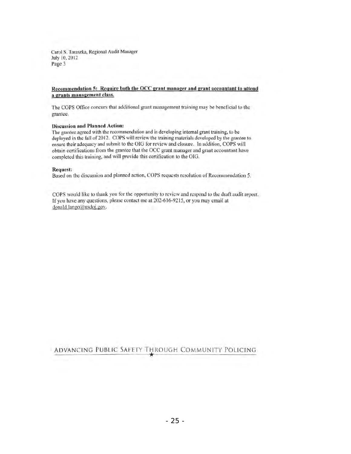Carol S. Taraszka, Regional Audit Manager July 10,2012 Page 3

#### Recommendation 5: Require both the OCC grant manager and grant accountant to attend a grants management class.

The COPS Office concurs that additional grant management training may be bencficial to the grantee.

### Discussion and Planned Action:

The grantee agreed with the recommendation and is developing internal grant training, to be deployed in the fall of 2012. COPS will review the training materials developed by the grantee to ensurc their adequacy and submit to the OIG for review and closure. In addition, COPS will obtain ccrti fications from the grantee that the OCC grant manager and grant accountant have completed this training, and will provide this certification to the OIG.

#### Request:

Based on the discussion and planned action, COPS requests resolution of Recommendation 5.

COPS would like to thank you for the opportunity to review and respond to the draft audit report. If you have any questions, please contact me at 202-616-92 15, or you may email at donald.lango@usdoj.gov.

**ADVANCING PUBLIC SAFETY THROUGH COMMUNITY POLICING**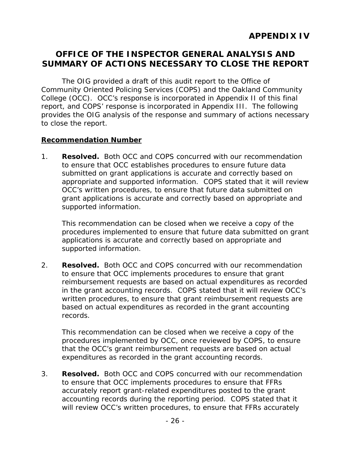# **OFFICE OF THE INSPECTOR GENERAL ANALYSIS AND SUMMARY OF ACTIONS NECESSARY TO CLOSE THE REPORT**

The OIG provided a draft of this audit report to the Office of Community Oriented Policing Services (COPS) and the Oakland Community College (OCC). OCC's response is incorporated in Appendix II of this final report, and COPS' response is incorporated in Appendix III. The following provides the OIG analysis of the response and summary of actions necessary to close the report.

### **Recommendation Number**

1. **Resolved.** Both OCC and COPS concurred with our recommendation appropriate and supported information. COPS stated that it will review supported information. to ensure that OCC establishes procedures to ensure future data submitted on grant applications is accurate and correctly based on OCC's written procedures, to ensure that future data submitted on grant applications is accurate and correctly based on appropriate and

 procedures implemented to ensure that future data submitted on grant This recommendation can be closed when we receive a copy of the applications is accurate and correctly based on appropriate and supported information.

2. **Resolved.** Both OCC and COPS concurred with our recommendation to ensure that OCC implements procedures to ensure that grant reimbursement requests are based on actual expenditures as recorded in the grant accounting records. COPS stated that it will review OCC's written procedures, to ensure that grant reimbursement requests are based on actual expenditures as recorded in the grant accounting records.

This recommendation can be closed when we receive a copy of the procedures implemented by OCC, once reviewed by COPS, to ensure that the OCC's grant reimbursement requests are based on actual expenditures as recorded in the grant accounting records.

 3. **Resolved.** Both OCC and COPS concurred with our recommendation to ensure that OCC implements procedures to ensure that FFRs accurately report grant-related expenditures posted to the grant accounting records during the reporting period. COPS stated that it will review OCC's written procedures, to ensure that FFRs accurately